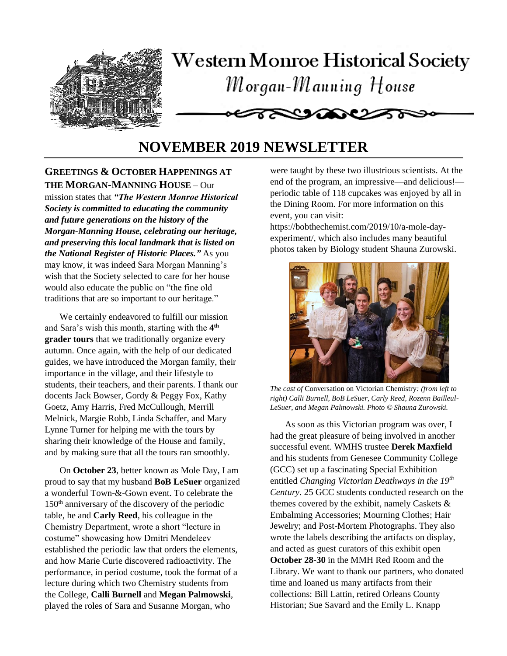

# **NOVEMBER 2019 NEWSLETTER**

# **GREETINGS & OCTOBER HAPPENINGS AT THE MORGAN-MANNING HOUSE** – Our

mission states that *"The Western Monroe Historical Society is committed to educating the community and future generations on the history of the Morgan-Manning House, celebrating our heritage, and preserving this local landmark that is listed on the National Register of Historic Places."* As you may know, it was indeed Sara Morgan Manning's wish that the Society selected to care for her house would also educate the public on "the fine old traditions that are so important to our heritage."

We certainly endeavored to fulfill our mission and Sara's wish this month, starting with the **4 th grader tours** that we traditionally organize every autumn. Once again, with the help of our dedicated guides, we have introduced the Morgan family, their importance in the village, and their lifestyle to students, their teachers, and their parents. I thank our docents Jack Bowser, Gordy & Peggy Fox, Kathy Goetz, Amy Harris, Fred McCullough, Merrill Melnick, Margie Robb, Linda Schaffer, and Mary Lynne Turner for helping me with the tours by sharing their knowledge of the House and family, and by making sure that all the tours ran smoothly.

On **October 23**, better known as Mole Day, I am proud to say that my husband **BoB LeSuer** organized a wonderful Town-&-Gown event. To celebrate the 150th anniversary of the discovery of the periodic table, he and **Carly Reed**, his colleague in the Chemistry Department, wrote a short "lecture in costume" showcasing how Dmitri Mendeleev established the periodic law that orders the elements, and how Marie Curie discovered radioactivity. The performance, in period costume, took the format of a lecture during which two Chemistry students from the College, **Calli Burnell** and **Megan Palmowski**, played the roles of Sara and Susanne Morgan, who

were taught by these two illustrious scientists. At the end of the program, an impressive—and delicious! periodic table of 118 cupcakes was enjoyed by all in the Dining Room. For more information on this event, you can visit:

https://bobthechemist.com/2019/10/a-mole-dayexperiment/, which also includes many beautiful photos taken by Biology student Shauna Zurowski.



*The cast of* Conversation on Victorian Chemistry*: (from left to right) Calli Burnell, BoB LeSuer, Carly Reed, Rozenn Bailleul-LeSuer, and Megan Palmowski. Photo © Shauna Zurowski.*

As soon as this Victorian program was over, I had the great pleasure of being involved in another successful event. WMHS trustee **Derek Maxfield** and his students from Genesee Community College (GCC) set up a fascinating Special Exhibition entitled *Changing Victorian Deathways in the 19th Century*. 25 GCC students conducted research on the themes covered by the exhibit, namely Caskets & Embalming Accessories; Mourning Clothes; Hair Jewelry; and Post-Mortem Photographs. They also wrote the labels describing the artifacts on display, and acted as guest curators of this exhibit open **October 28-30** in the MMH Red Room and the Library. We want to thank our partners, who donated time and loaned us many artifacts from their collections: Bill Lattin, retired Orleans County Historian; Sue Savard and the Emily L. Knapp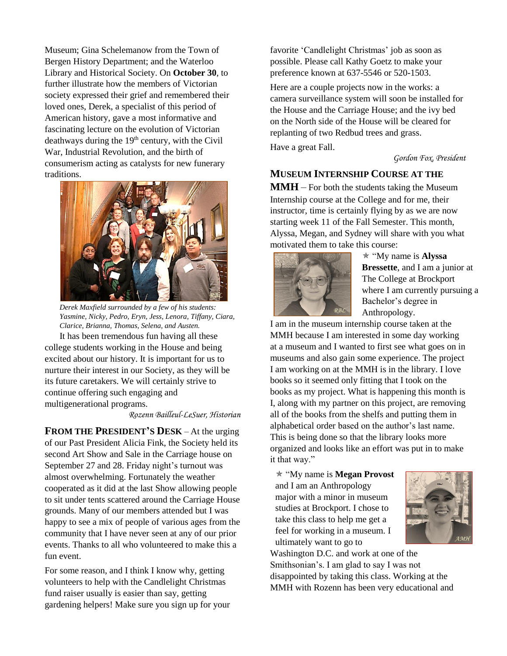Museum; Gina Schelemanow from the Town of Bergen History Department; and the Waterloo Library and Historical Society. On **October 30**, to further illustrate how the members of Victorian society expressed their grief and remembered their loved ones, Derek, a specialist of this period of American history, gave a most informative and fascinating lecture on the evolution of Victorian deathways during the 19<sup>th</sup> century, with the Civil War, Industrial Revolution, and the birth of consumerism acting as catalysts for new funerary traditions.



*Derek Maxfield surrounded by a few of his students: Yasmine, Nicky, Pedro, Eryn, Jess, Lenora, Tiffany, Ciara, Clarice, Brianna, Thomas, Selena, and Austen.*

It has been tremendous fun having all these college students working in the House and being excited about our history. It is important for us to nurture their interest in our Society, as they will be its future caretakers. We will certainly strive to continue offering such engaging and multigenerational programs.

#### *Rozenn Bailleul-LeSuer, Historian*

**FROM THE PRESIDENT'S DESK** – At the urging of our Past President Alicia Fink, the Society held its second Art Show and Sale in the Carriage house on September 27 and 28. Friday night's turnout was almost overwhelming. Fortunately the weather cooperated as it did at the last Show allowing people to sit under tents scattered around the Carriage House grounds. Many of our members attended but I was happy to see a mix of people of various ages from the community that I have never seen at any of our prior events. Thanks to all who volunteered to make this a fun event.

For some reason, and I think I know why, getting volunteers to help with the Candlelight Christmas fund raiser usually is easier than say, getting gardening helpers! Make sure you sign up for your favorite 'Candlelight Christmas' job as soon as possible. Please call Kathy Goetz to make your preference known at 637-5546 or 520-1503.

Here are a couple projects now in the works: a camera surveillance system will soon be installed for the House and the Carriage House; and the ivy bed on the North side of the House will be cleared for replanting of two Redbud trees and grass.

Have a great Fall.

*Gordon Fox, President*

# **MUSEUM INTERNSHIP COURSE AT THE**

**MMH** – For both the students taking the Museum Internship course at the College and for me, their instructor, time is certainly flying by as we are now starting week 11 of the Fall Semester. This month, Alyssa, Megan, and Sydney will share with you what motivated them to take this course:



 "My name is **Alyssa Bressette**, and I am a junior at The College at Brockport where I am currently pursuing a Bachelor's degree in Anthropology.

I am in the museum internship course taken at the MMH because I am interested in some day working at a museum and I wanted to first see what goes on in museums and also gain some experience. The project I am working on at the MMH is in the library. I love books so it seemed only fitting that I took on the books as my project. What is happening this month is I, along with my partner on this project, are removing all of the books from the shelfs and putting them in alphabetical order based on the author's last name. This is being done so that the library looks more organized and looks like an effort was put in to make it that way."

 "My name is **Megan Provost** and I am an Anthropology major with a minor in museum studies at Brockport. I chose to take this class to help me get a feel for working in a museum. I ultimately want to go to



Washington D.C. and work at one of the Smithsonian's. I am glad to say I was not disappointed by taking this class. Working at the MMH with Rozenn has been very educational and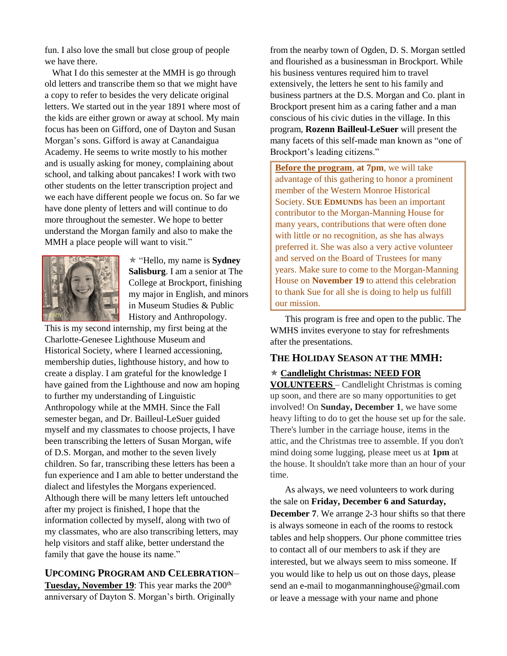fun. I also love the small but close group of people we have there.

What I do this semester at the MMH is go through old letters and transcribe them so that we might have a copy to refer to besides the very delicate original letters. We started out in the year 1891 where most of the kids are either grown or away at school. My main focus has been on Gifford, one of Dayton and Susan Morgan's sons. Gifford is away at Canandaigua Academy. He seems to write mostly to his mother and is usually asking for money, complaining about school, and talking about pancakes! I work with two other students on the letter transcription project and we each have different people we focus on. So far we have done plenty of letters and will continue to do more throughout the semester. We hope to better understand the Morgan family and also to make the MMH a place people will want to visit."



 "Hello, my name is **Sydney Salisburg**. I am a senior at The College at Brockport, finishing my major in English, and minors in Museum Studies & Public History and Anthropology.

This is my second internship, my first being at the Charlotte-Genesee Lighthouse Museum and Historical Society, where I learned accessioning, membership duties, lighthouse history, and how to create a display. I am grateful for the knowledge I have gained from the Lighthouse and now am hoping to further my understanding of Linguistic Anthropology while at the MMH. Since the Fall semester began, and Dr. Bailleul-LeSuer guided myself and my classmates to choose projects, I have been transcribing the letters of Susan Morgan, wife of D.S. Morgan, and mother to the seven lively children. So far, transcribing these letters has been a fun experience and I am able to better understand the dialect and lifestyles the Morgans experienced. Although there will be many letters left untouched after my project is finished, I hope that the information collected by myself, along with two of my classmates, who are also transcribing letters, may help visitors and staff alike, better understand the family that gave the house its name."

## **UPCOMING PROGRAM AND CELEBRATION**–

**Tuesday, November 19:** This year marks the 200<sup>th</sup> anniversary of Dayton S. Morgan's birth. Originally from the nearby town of Ogden, D. S. Morgan settled and flourished as a businessman in Brockport. While his business ventures required him to travel extensively, the letters he sent to his family and business partners at the D.S. Morgan and Co. plant in Brockport present him as a caring father and a man conscious of his civic duties in the village. In this program, **Rozenn Bailleul-LeSuer** will present the many facets of this self-made man known as "one of Brockport's leading citizens."

**Before the program**, **at 7pm**, we will take advantage of this gathering to honor a prominent member of the Western Monroe Historical Society. **SUE EDMUNDS** has been an important contributor to the Morgan-Manning House for many years, contributions that were often done with little or no recognition, as she has always preferred it. She was also a very active volunteer and served on the Board of Trustees for many years. Make sure to come to the Morgan-Manning House on **November 19** to attend this celebration to thank Sue for all she is doing to help us fulfill our mission.

This program is free and open to the public. The WMHS invites everyone to stay for refreshments after the presentations.

## **THE HOLIDAY SEASON AT THE MMH:**

## **Candlelight Christmas: NEED FOR**

**VOLUNTEERS** – Candlelight Christmas is coming up soon, and there are so many opportunities to get involved! On **Sunday, December 1**, we have some heavy lifting to do to get the house set up for the sale. There's lumber in the carriage house, items in the attic, and the Christmas tree to assemble. If you don't mind doing some lugging, please meet us at **1pm** at the house. It shouldn't take more than an hour of your time.

As always, we need volunteers to work during the sale on **Friday, December 6 and Saturday, December 7**. We arrange 2-3 hour shifts so that there is always someone in each of the rooms to restock tables and help shoppers. Our phone committee tries to contact all of our members to ask if they are interested, but we always seem to miss someone. If you would like to help us out on those days, please send an e-mail to moganmanninghouse@gmail.com or leave a message with your name and phone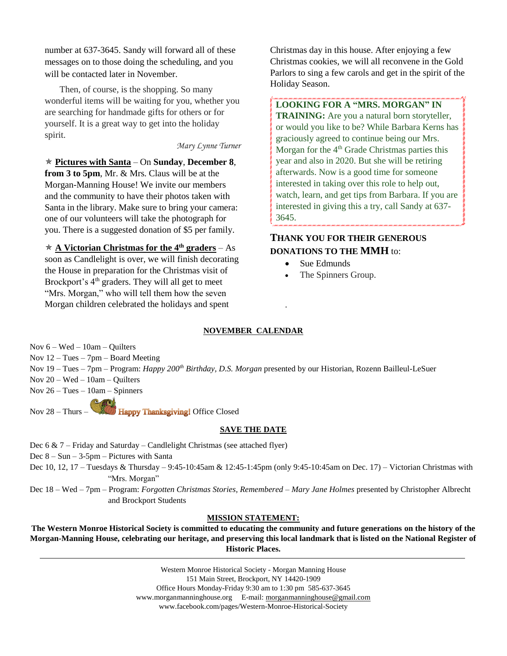number at 637-3645. Sandy will forward all of these messages on to those doing the scheduling, and you will be contacted later in November.

Then, of course, is the shopping. So many wonderful items will be waiting for you, whether you are searching for handmade gifts for others or for yourself. It is a great way to get into the holiday spirit.

#### *Mary Lynne Turner*

 **Pictures with Santa** – On **Sunday**, **December 8**, **from 3 to 5pm**, Mr. & Mrs. Claus will be at the Morgan-Manning House! We invite our members and the community to have their photos taken with Santa in the library. Make sure to bring your camera: one of our volunteers will take the photograph for you. There is a suggested donation of \$5 per family.

 **A Victorian Christmas for the 4th graders** – As soon as Candlelight is over, we will finish decorating the House in preparation for the Christmas visit of Brockport's 4<sup>th</sup> graders. They will all get to meet "Mrs. Morgan," who will tell them how the seven Morgan children celebrated the holidays and spent

Christmas day in this house. After enjoying a few Christmas cookies, we will all reconvene in the Gold Parlors to sing a few carols and get in the spirit of the Holiday Season.

**LOOKING FOR A "MRS. MORGAN" IN TRAINING:** Are you a natural born storyteller, or would you like to be? While Barbara Kerns has graciously agreed to continue being our Mrs. Morgan for the  $4<sup>th</sup>$  Grade Christmas parties this year and also in 2020. But she will be retiring afterwards. Now is a good time for someone interested in taking over this role to help out, watch, learn, and get tips from Barbara. If you are interested in giving this a try, call Sandy at 637- 3645.

# **THANK YOU FOR THEIR GENEROUS DONATIONS TO THE MMH** to:

- Sue Edmunds
- The Spinners Group.

#### **NOVEMBER CALENDAR**

.

Nov 6 – Wed – 10am – Quilters

Nov 12 – Tues – 7pm – Board Meeting

Nov 19 – Tues – 7pm – Program: *Happy 200th Birthday, D.S. Morgan* presented by our Historian, Rozenn Bailleul-LeSuer

Nov 20 – Wed – 10am – Quilters

Nov 26 – Tues – 10am – Spinners

Nov 28 – Thurs – **EXITY Happy Thanksgiving!** Office Closed

#### **SAVE THE DATE**

Dec 6 & 7 – Friday and Saturday – Candlelight Christmas (see attached flyer) Dec 8 – Sun – 3-5pm – Pictures with Santa Dec 10, 12, 17 – Tuesdays & Thursday – 9:45-10:45am & 12:45-1:45pm (only 9:45-10:45am on Dec. 17) – Victorian Christmas with "Mrs. Morgan"

Dec 18 – Wed – 7pm – Program: *Forgotten Christmas Stories, Remembered – Mary Jane Holmes* presented by Christopher Albrecht and Brockport Students

#### **MISSION STATEMENT:**

**The Western Monroe Historical Society is committed to educating the community and future generations on the history of the Morgan-Manning House, celebrating our heritage, and preserving this local landmark that is listed on the National Register of Historic Places.**

> Western Monroe Historical Society - Morgan Manning House 151 Main Street, Brockport, NY 14420-1909 Office Hours Monday-Friday 9:30 am to 1:30 pm 585-637-3645 [www.morganmanninghouse.org](http://www.morganmanninghouse.org/) E-mail: [morganmanninghouse@gmail.com](mailto:morganmanninghouse@frontiernet.net) www.facebook.com/pages/Western-Monroe-Historical-Society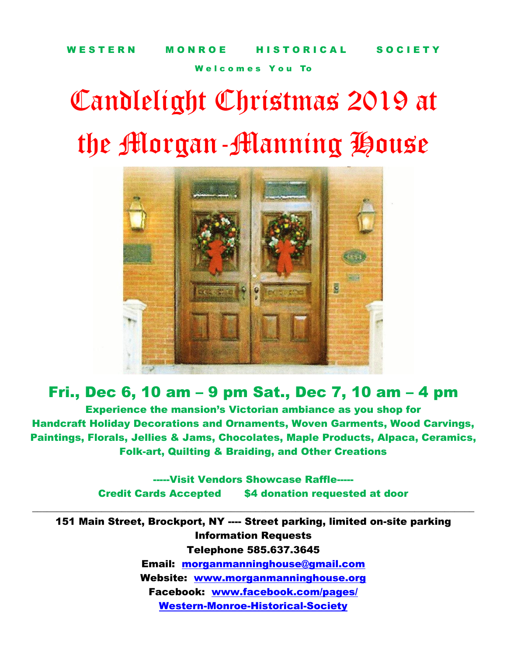Welcomes You To

# Candlelight Christmas 2019 at the Morgan-Manning House



# Fri., Dec 6, 10 am – 9 pm Sat., Dec 7, 10 am – 4 pm

Experience the mansion's Victorian ambiance as you shop for Handcraft Holiday Decorations and Ornaments, Woven Garments, Wood Carvings, Paintings, Florals, Jellies & Jams, Chocolates, Maple Products, Alpaca, Ceramics, Folk-art, Quilting & Braiding, and Other Creations

> -----Visit Vendors Showcase Raffle----- Credit Cards Accepted \$4 donation requested at door

 $\_$ 

151 Main Street, Brockport, NY ---- Street parking, limited on-site parking Information Requests Telephone 585.637.3645 Email: [morganmanninghouse@gmail.com](mailto:morganmanninghouse@gmail.com) Website: www.morganmanninghouse.org Facebook: [www.facebook.com/pages/](http://www.facebook.com/pages/Western-Monroe-Historical-Society) [Western-Monroe-Historical-Society](http://www.facebook.com/pages/Western-Monroe-Historical-Society)